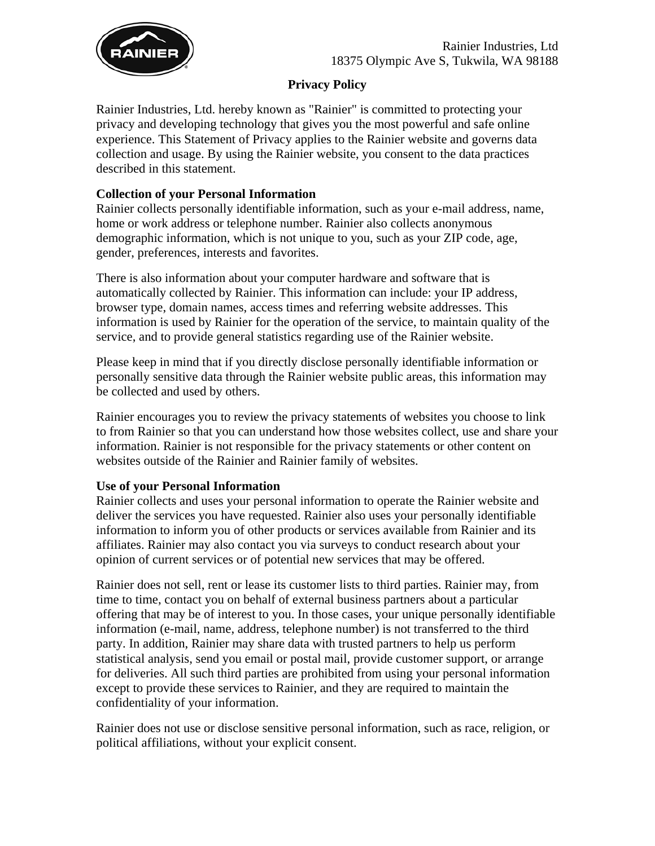

## **Privacy Policy**

Rainier Industries, Ltd. hereby known as "Rainier" is committed to protecting your privacy and developing technology that gives you the most powerful and safe online experience. This Statement of Privacy applies to the Rainier website and governs data collection and usage. By using the Rainier website, you consent to the data practices described in this statement.

# **Collection of your Personal Information**

Rainier collects personally identifiable information, such as your e-mail address, name, home or work address or telephone number. Rainier also collects anonymous demographic information, which is not unique to you, such as your ZIP code, age, gender, preferences, interests and favorites.

There is also information about your computer hardware and software that is automatically collected by Rainier. This information can include: your IP address, browser type, domain names, access times and referring website addresses. This information is used by Rainier for the operation of the service, to maintain quality of the service, and to provide general statistics regarding use of the Rainier website.

Please keep in mind that if you directly disclose personally identifiable information or personally sensitive data through the Rainier website public areas, this information may be collected and used by others.

Rainier encourages you to review the privacy statements of websites you choose to link to from Rainier so that you can understand how those websites collect, use and share your information. Rainier is not responsible for the privacy statements or other content on websites outside of the Rainier and Rainier family of websites.

### **Use of your Personal Information**

Rainier collects and uses your personal information to operate the Rainier website and deliver the services you have requested. Rainier also uses your personally identifiable information to inform you of other products or services available from Rainier and its affiliates. Rainier may also contact you via surveys to conduct research about your opinion of current services or of potential new services that may be offered.

Rainier does not sell, rent or lease its customer lists to third parties. Rainier may, from time to time, contact you on behalf of external business partners about a particular offering that may be of interest to you. In those cases, your unique personally identifiable information (e-mail, name, address, telephone number) is not transferred to the third party. In addition, Rainier may share data with trusted partners to help us perform statistical analysis, send you email or postal mail, provide customer support, or arrange for deliveries. All such third parties are prohibited from using your personal information except to provide these services to Rainier, and they are required to maintain the confidentiality of your information.

Rainier does not use or disclose sensitive personal information, such as race, religion, or political affiliations, without your explicit consent.